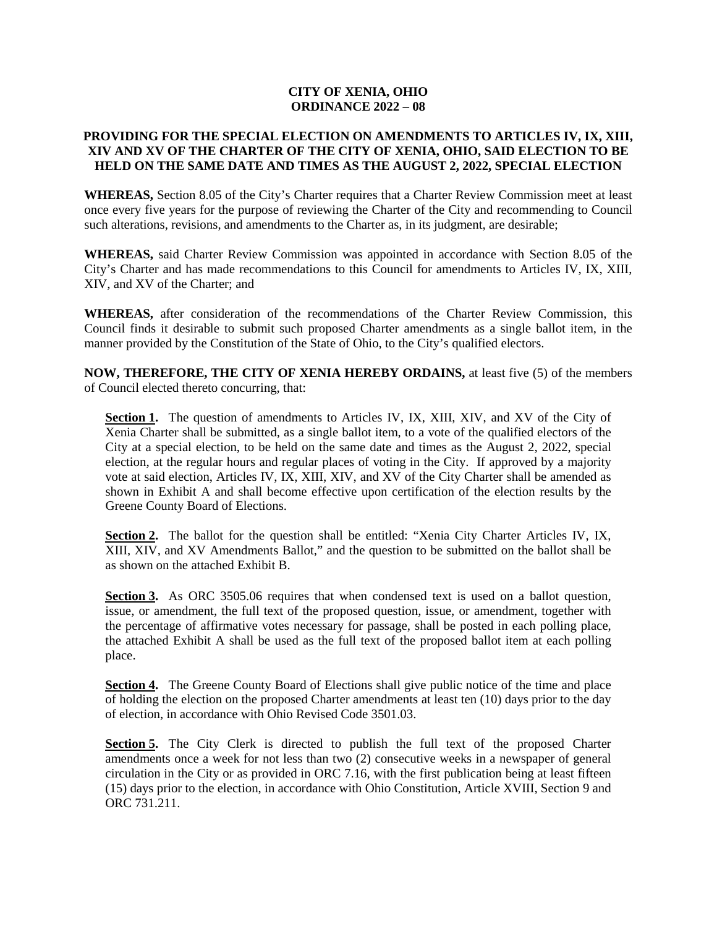### **CITY OF XENIA, OHIO ORDINANCE 2022 – 08**

### **PROVIDING FOR THE SPECIAL ELECTION ON AMENDMENTS TO ARTICLES IV, IX, XIII, XIV AND XV OF THE CHARTER OF THE CITY OF XENIA, OHIO, SAID ELECTION TO BE HELD ON THE SAME DATE AND TIMES AS THE AUGUST 2, 2022, SPECIAL ELECTION**

**WHEREAS,** Section 8.05 of the City's Charter requires that a Charter Review Commission meet at least once every five years for the purpose of reviewing the Charter of the City and recommending to Council such alterations, revisions, and amendments to the Charter as, in its judgment, are desirable;

**WHEREAS,** said Charter Review Commission was appointed in accordance with Section 8.05 of the City's Charter and has made recommendations to this Council for amendments to Articles IV, IX, XIII, XIV, and XV of the Charter; and

**WHEREAS,** after consideration of the recommendations of the Charter Review Commission, this Council finds it desirable to submit such proposed Charter amendments as a single ballot item, in the manner provided by the Constitution of the State of Ohio, to the City's qualified electors.

**NOW, THEREFORE, THE CITY OF XENIA HEREBY ORDAINS,** at least five (5) of the members of Council elected thereto concurring, that:

**Section 1.** The question of amendments to Articles IV, IX, XIII, XIV, and XV of the City of Xenia Charter shall be submitted, as a single ballot item, to a vote of the qualified electors of the City at a special election, to be held on the same date and times as the August 2, 2022, special election, at the regular hours and regular places of voting in the City. If approved by a majority vote at said election, Articles IV, IX, XIII, XIV, and XV of the City Charter shall be amended as shown in Exhibit A and shall become effective upon certification of the election results by the Greene County Board of Elections.

**Section 2.** The ballot for the question shall be entitled: "Xenia City Charter Articles IV, IX, XIII, XIV, and XV Amendments Ballot," and the question to be submitted on the ballot shall be as shown on the attached Exhibit B.

**Section 3.** As ORC 3505.06 requires that when condensed text is used on a ballot question, issue, or amendment, the full text of the proposed question, issue, or amendment, together with the percentage of affirmative votes necessary for passage, shall be posted in each polling place, the attached Exhibit A shall be used as the full text of the proposed ballot item at each polling place.

**Section 4.** The Greene County Board of Elections shall give public notice of the time and place of holding the election on the proposed Charter amendments at least ten (10) days prior to the day of election, in accordance with Ohio Revised Code 3501.03.

**Section 5.** The City Clerk is directed to publish the full text of the proposed Charter amendments once a week for not less than two (2) consecutive weeks in a newspaper of general circulation in the City or as provided in ORC 7.16, with the first publication being at least fifteen (15) days prior to the election, in accordance with Ohio Constitution, Article XVIII, Section 9 and ORC 731.211.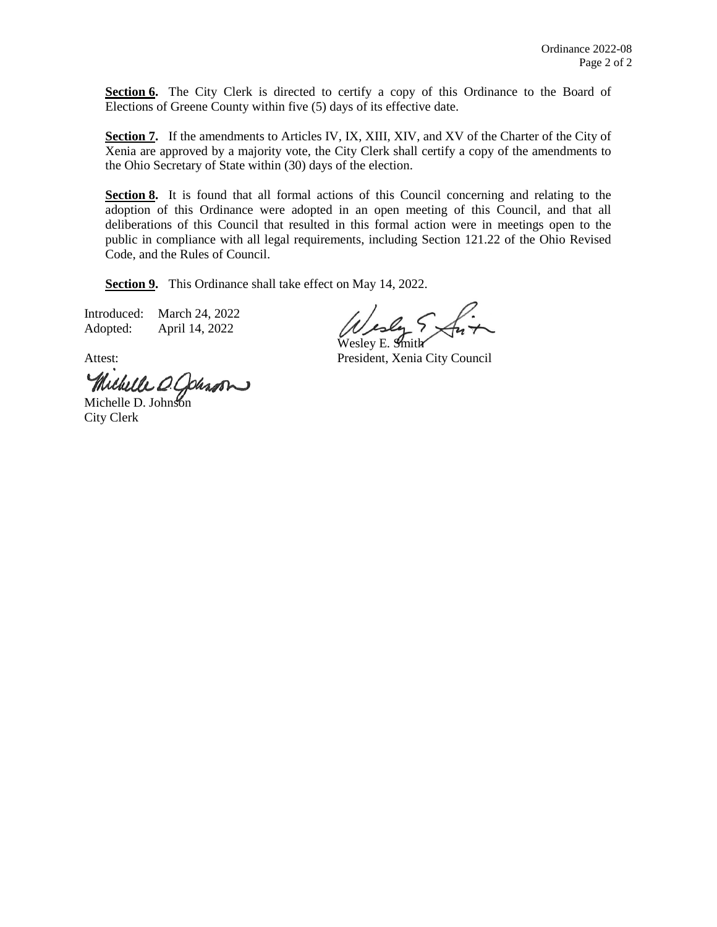Section 6. The City Clerk is directed to certify a copy of this Ordinance to the Board of Elections of Greene County within five (5) days of its effective date.

Section 7. If the amendments to Articles IV, IX, XIII, XIV, and XV of the Charter of the City of Xenia are approved by a majority vote, the City Clerk shall certify a copy of the amendments to the Ohio Secretary of State within (30) days of the election.

Section 8. It is found that all formal actions of this Council concerning and relating to the adoption of this Ordinance were adopted in an open meeting of this Council, and that all deliberations of this Council that resulted in this formal action were in meetings open to the public in compliance with all legal requirements, including Section 121.22 of the Ohio Revised Code, and the Rules of Council.

**Section 9.** This Ordinance shall take effect on May 14, 2022.

Introduced: March 24, 2022 Adopted: April 14, 2022

Wesley E. Smith

Attest: President, Xenia City Council

Michelle O. Johnson

City Clerk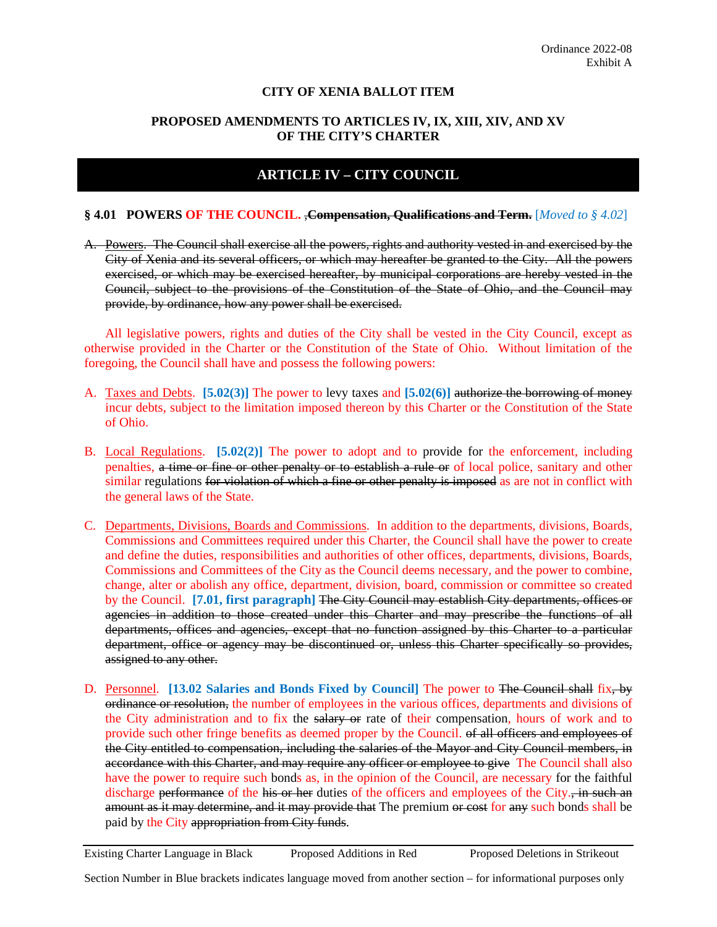### **CITY OF XENIA BALLOT ITEM**

### **PROPOSED AMENDMENTS TO ARTICLES IV, IX, XIII, XIV, AND XV OF THE CITY'S CHARTER**

# **ARTICLE IV – CITY COUNCIL**

#### **§ 4.01 POWERS OF THE COUNCIL.** ,**Compensation, Qualifications and Term.** [*Moved to § 4.02*]

A. Powers. The Council shall exercise all the powers, rights and authority vested in and exercised by the City of Xenia and its several officers, or which may hereafter be granted to the City. All the powers exercised, or which may be exercised hereafter, by municipal corporations are hereby vested in the Council, subject to the provisions of the Constitution of the State of Ohio, and the Council may provide, by ordinance, how any power shall be exercised.

All legislative powers, rights and duties of the City shall be vested in the City Council, except as otherwise provided in the Charter or the Constitution of the State of Ohio. Without limitation of the foregoing, the Council shall have and possess the following powers:

- A. Taxes and Debts. **[5.02(3)]** The power to levy taxes and **[5.02(6)]** authorize the borrowing of money incur debts, subject to the limitation imposed thereon by this Charter or the Constitution of the State of Ohio.
- B. Local Regulations. **[5.02(2)]** The power to adopt and to provide for the enforcement, including penalties, a time or fine or other penalty or to establish a rule or of local police, sanitary and other similar regulations for violation of which a fine or other penalty is imposed as are not in conflict with the general laws of the State.
- C. Departments, Divisions, Boards and Commissions. In addition to the departments, divisions, Boards, Commissions and Committees required under this Charter, the Council shall have the power to create and define the duties, responsibilities and authorities of other offices, departments, divisions, Boards, Commissions and Committees of the City as the Council deems necessary, and the power to combine, change, alter or abolish any office, department, division, board, commission or committee so created by the Council. **[7.01, first paragraph]** The City Council may establish City departments, offices or agencies in addition to those created under this Charter and may prescribe the functions of all departments, offices and agencies, except that no function assigned by this Charter to a particular department, office or agency may be discontinued or, unless this Charter specifically so provides, assigned to any other.
- D. Personnel. **[13.02 Salaries and Bonds Fixed by Council]** The power to The Council shall fix, by ordinance or resolution, the number of employees in the various offices, departments and divisions of the City administration and to fix the salary or rate of their compensation, hours of work and to provide such other fringe benefits as deemed proper by the Council. of all officers and employees of the City entitled to compensation, including the salaries of the Mayor and City Council members, in accordance with this Charter, and may require any officer or employee to give The Council shall also have the power to require such bonds as, in the opinion of the Council, are necessary for the faithful discharge performance of the his or her duties of the officers and employees of the City., in such an amount as it may determine, and it may provide that The premium or cost for any such bonds shall be paid by the City appropriation from City funds.

Existing Charter Language in Black Proposed Additions in Red Proposed Deletions in Strikeout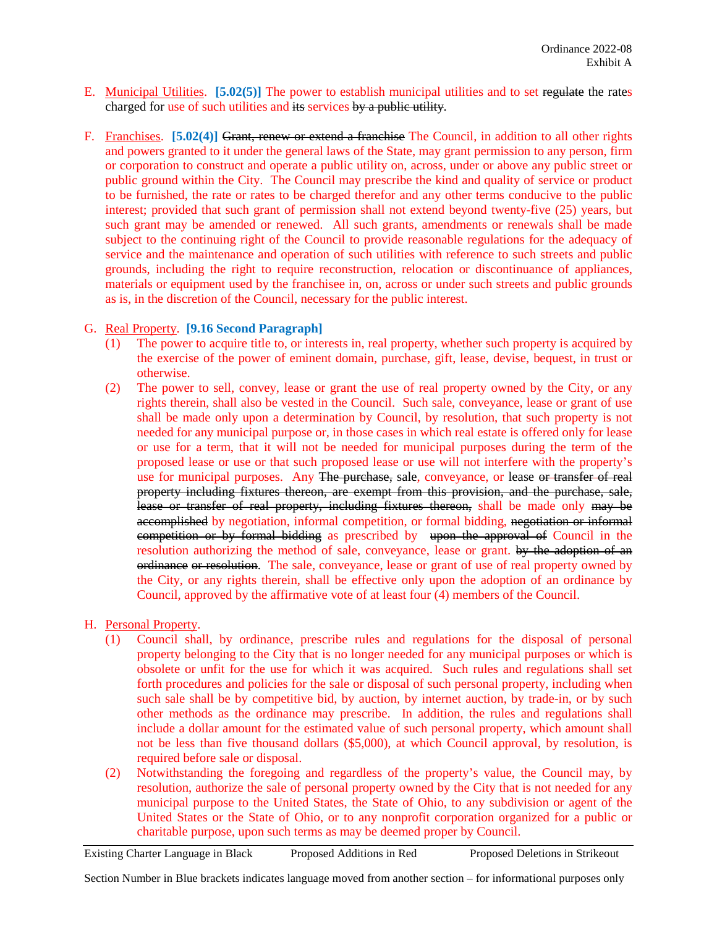- E. Municipal Utilities. **[5.02(5)]** The power to establish municipal utilities and to set regulate the rates charged for use of such utilities and its services by a public utility.
- F. Franchises. **[5.02(4)]** Grant, renew or extend a franchise The Council, in addition to all other rights and powers granted to it under the general laws of the State, may grant permission to any person, firm or corporation to construct and operate a public utility on, across, under or above any public street or public ground within the City. The Council may prescribe the kind and quality of service or product to be furnished, the rate or rates to be charged therefor and any other terms conducive to the public interest; provided that such grant of permission shall not extend beyond twenty-five (25) years, but such grant may be amended or renewed. All such grants, amendments or renewals shall be made subject to the continuing right of the Council to provide reasonable regulations for the adequacy of service and the maintenance and operation of such utilities with reference to such streets and public grounds, including the right to require reconstruction, relocation or discontinuance of appliances, materials or equipment used by the franchisee in, on, across or under such streets and public grounds as is, in the discretion of the Council, necessary for the public interest.

### G. Real Property. **[9.16 Second Paragraph]**

- (1) The power to acquire title to, or interests in, real property, whether such property is acquired by the exercise of the power of eminent domain, purchase, gift, lease, devise, bequest, in trust or otherwise.
- (2) The power to sell, convey, lease or grant the use of real property owned by the City, or any rights therein, shall also be vested in the Council. Such sale, conveyance, lease or grant of use shall be made only upon a determination by Council, by resolution, that such property is not needed for any municipal purpose or, in those cases in which real estate is offered only for lease or use for a term, that it will not be needed for municipal purposes during the term of the proposed lease or use or that such proposed lease or use will not interfere with the property's use for municipal purposes. Any The purchase, sale, conveyance, or lease or transfer of real property including fixtures thereon, are exempt from this provision, and the purchase, sale, lease or transfer of real property, including fixtures thereon, shall be made only may be accomplished by negotiation, informal competition, or formal bidding, negotiation or informal competition or by formal bidding as prescribed by upon the approval of Council in the resolution authorizing the method of sale, conveyance, lease or grant. by the adoption of an ordinance or resolution. The sale, conveyance, lease or grant of use of real property owned by the City, or any rights therein, shall be effective only upon the adoption of an ordinance by Council, approved by the affirmative vote of at least four (4) members of the Council.

## H. Personal Property.

- (1) Council shall, by ordinance, prescribe rules and regulations for the disposal of personal property belonging to the City that is no longer needed for any municipal purposes or which is obsolete or unfit for the use for which it was acquired. Such rules and regulations shall set forth procedures and policies for the sale or disposal of such personal property, including when such sale shall be by competitive bid, by auction, by internet auction, by trade-in, or by such other methods as the ordinance may prescribe. In addition, the rules and regulations shall include a dollar amount for the estimated value of such personal property, which amount shall not be less than five thousand dollars (\$5,000), at which Council approval, by resolution, is required before sale or disposal.
- (2) Notwithstanding the foregoing and regardless of the property's value, the Council may, by resolution, authorize the sale of personal property owned by the City that is not needed for any municipal purpose to the United States, the State of Ohio, to any subdivision or agent of the United States or the State of Ohio, or to any nonprofit corporation organized for a public or charitable purpose, upon such terms as may be deemed proper by Council.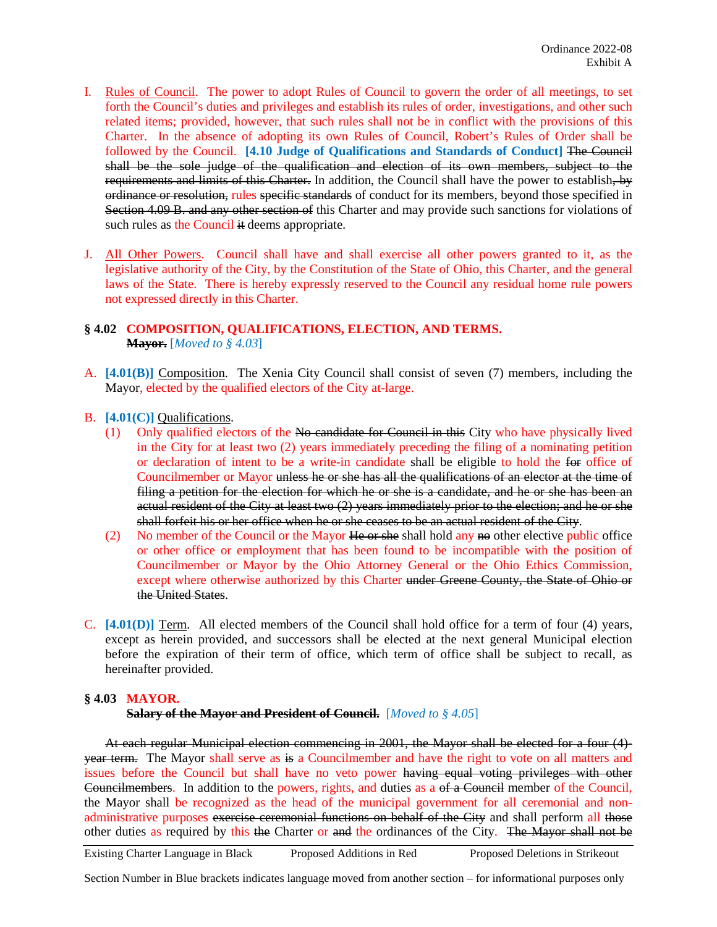- I. Rules of Council. The power to adopt Rules of Council to govern the order of all meetings, to set forth the Council's duties and privileges and establish its rules of order, investigations, and other such related items; provided, however, that such rules shall not be in conflict with the provisions of this Charter. In the absence of adopting its own Rules of Council, Robert's Rules of Order shall be followed by the Council. **[4.10 Judge of Qualifications and Standards of Conduct]** The Council shall be the sole judge of the qualification and election of its own members, subject to the requirements and limits of this Charter. In addition, the Council shall have the power to establish, by ordinance or resolution, rules specific standards of conduct for its members, beyond those specified in Section 4.09 B. and any other section of this Charter and may provide such sanctions for violations of such rules as the Council it deems appropriate.
- J. All Other Powers. Council shall have and shall exercise all other powers granted to it, as the legislative authority of the City, by the Constitution of the State of Ohio, this Charter, and the general laws of the State. There is hereby expressly reserved to the Council any residual home rule powers not expressed directly in this Charter.

## **§ 4.02 COMPOSITION, QUALIFICATIONS, ELECTION, AND TERMS. Mayor.** [*Moved to § 4.03*]

- A. **[4.01(B)]** Composition. The Xenia City Council shall consist of seven (7) members, including the Mayor, elected by the qualified electors of the City at-large.
- B. **[4.01(C)]** Qualifications.
	- (1) Only qualified electors of the No candidate for Council in this City who have physically lived in the City for at least two (2) years immediately preceding the filing of a nominating petition or declaration of intent to be a write-in candidate shall be eligible to hold the for office of Councilmember or Mayor unless he or she has all the qualifications of an elector at the time of filing a petition for the election for which he or she is a candidate, and he or she has been an actual resident of the City at least two (2) years immediately prior to the election; and he or she shall forfeit his or her office when he or she ceases to be an actual resident of the City.
	- (2) No member of the Council or the Mayor  $He$  or she shall hold any no other elective public office or other office or employment that has been found to be incompatible with the position of Councilmember or Mayor by the Ohio Attorney General or the Ohio Ethics Commission, except where otherwise authorized by this Charter under Greene County, the State of Ohio or the United States.
- C. **[4.01(D)]** Term. All elected members of the Council shall hold office for a term of four (4) years, except as herein provided, and successors shall be elected at the next general Municipal election before the expiration of their term of office, which term of office shall be subject to recall, as hereinafter provided.

### **§ 4.03 MAYOR.**

### **Salary of the Mayor and President of Council.** [*Moved to § 4.05*]

At each regular Municipal election commencing in 2001, the Mayor shall be elected for a four (4) year term. The Mayor shall serve as is a Councilmember and have the right to vote on all matters and issues before the Council but shall have no veto power having equal voting privileges with other Councilmembers. In addition to the powers, rights, and duties as a of a Council member of the Council, the Mayor shall be recognized as the head of the municipal government for all ceremonial and nonadministrative purposes exercise ceremonial functions on behalf of the City and shall perform all those other duties as required by this the Charter or and the ordinances of the City. The Mayor shall not be

Existing Charter Language in Black Proposed Additions in Red Proposed Deletions in Strikeout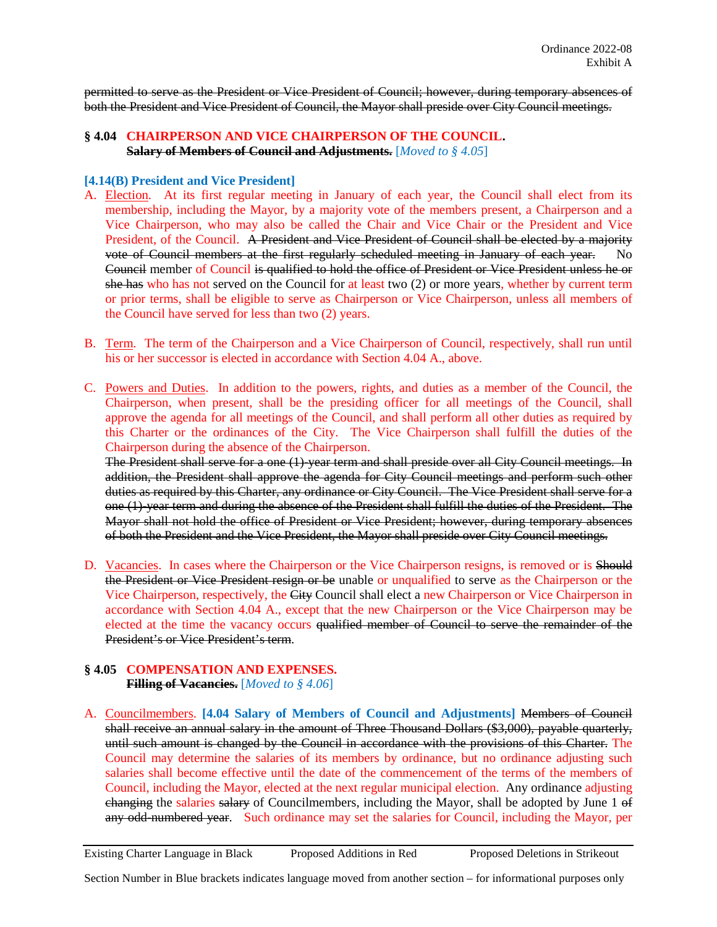permitted to serve as the President or Vice President of Council; however, during temporary absences of both the President and Vice President of Council, the Mayor shall preside over City Council meetings.

### **§ 4.04 CHAIRPERSON AND VICE CHAIRPERSON OF THE COUNCIL. Salary of Members of Council and Adjustments.** [*Moved to § 4.05*]

### **[4.14(B) President and Vice President]**

- A. Election. At its first regular meeting in January of each year, the Council shall elect from its membership, including the Mayor, by a majority vote of the members present, a Chairperson and a Vice Chairperson, who may also be called the Chair and Vice Chair or the President and Vice President, of the Council. A President and Vice President of Council shall be elected by a majority vote of Council members at the first regularly scheduled meeting in January of each year. No Council member of Council is qualified to hold the office of President or Vice President unless he or she has who has not served on the Council for at least two (2) or more years, whether by current term or prior terms, shall be eligible to serve as Chairperson or Vice Chairperson, unless all members of the Council have served for less than two (2) years.
- B. Term. The term of the Chairperson and a Vice Chairperson of Council, respectively, shall run until his or her successor is elected in accordance with Section 4.04 A., above.
- C. Powers and Duties. In addition to the powers, rights, and duties as a member of the Council, the Chairperson, when present, shall be the presiding officer for all meetings of the Council, shall approve the agenda for all meetings of the Council, and shall perform all other duties as required by this Charter or the ordinances of the City. The Vice Chairperson shall fulfill the duties of the Chairperson during the absence of the Chairperson.

The President shall serve for a one (1)-year term and shall preside over all City Council meetings. In addition, the President shall approve the agenda for City Council meetings and perform such other duties as required by this Charter, any ordinance or City Council. The Vice President shall serve for a one (1)-year term and during the absence of the President shall fulfill the duties of the President. The Mayor shall not hold the office of President or Vice President; however, during temporary absences of both the President and the Vice President, the Mayor shall preside over City Council meetings.

D. Vacancies. In cases where the Chairperson or the Vice Chairperson resigns, is removed or is Should the President or Vice President resign or be unable or unqualified to serve as the Chairperson or the Vice Chairperson, respectively, the City Council shall elect a new Chairperson or Vice Chairperson in accordance with Section 4.04 A., except that the new Chairperson or the Vice Chairperson may be elected at the time the vacancy occurs qualified member of Council to serve the remainder of the President's or Vice President's term.

#### **§ 4.05 COMPENSATION AND EXPENSES. Filling of Vacancies.** [*Moved to § 4.06*]

A. Councilmembers. **[4.04 Salary of Members of Council and Adjustments]** Members of Council shall receive an annual salary in the amount of Three Thousand Dollars (\$3,000), payable quarterly, until such amount is changed by the Council in accordance with the provisions of this Charter. The Council may determine the salaries of its members by ordinance, but no ordinance adjusting such salaries shall become effective until the date of the commencement of the terms of the members of Council, including the Mayor, elected at the next regular municipal election. Any ordinance adjusting changing the salaries salary of Councilmembers, including the Mayor, shall be adopted by June 1 of any odd-numbered year. Such ordinance may set the salaries for Council, including the Mayor, per

Existing Charter Language in Black Proposed Additions in Red Proposed Deletions in Strikeout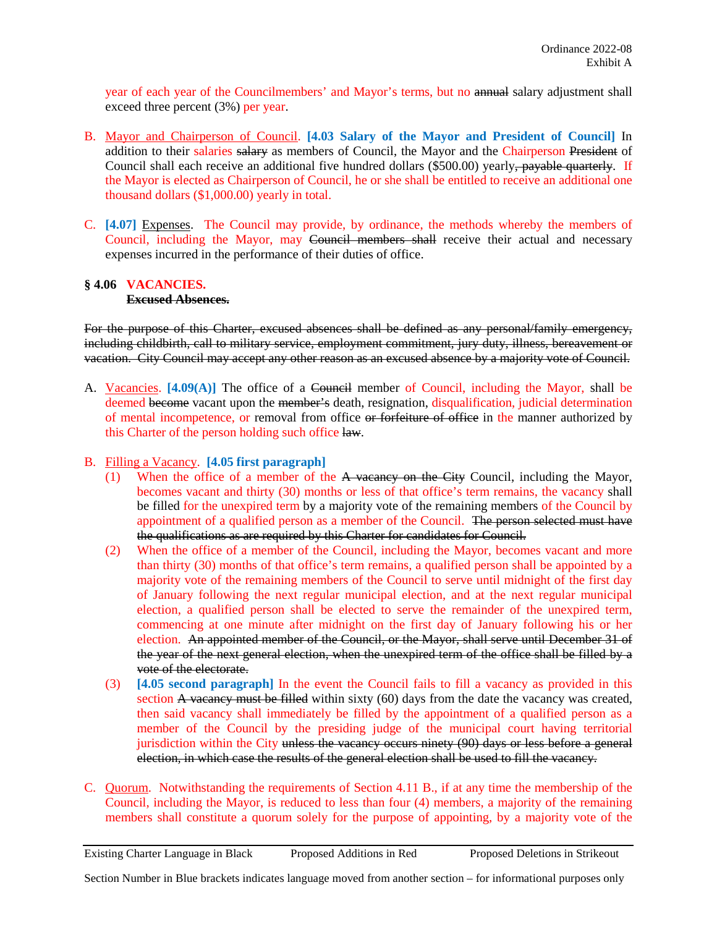year of each year of the Councilmembers' and Mayor's terms, but no annual salary adjustment shall exceed three percent (3%) per year.

- B. Mayor and Chairperson of Council. **[4.03 Salary of the Mayor and President of Council]** In addition to their salaries salary as members of Council, the Mayor and the Chairperson President of Council shall each receive an additional five hundred dollars (\$500.00) yearly, payable quarterly. If the Mayor is elected as Chairperson of Council, he or she shall be entitled to receive an additional one thousand dollars (\$1,000.00) yearly in total.
- C. **[4.07]** Expenses. The Council may provide, by ordinance, the methods whereby the members of Council, including the Mayor, may Council members shall receive their actual and necessary expenses incurred in the performance of their duties of office.

#### **§ 4.06 VACANCIES. Excused Absences.**

For the purpose of this Charter, excused absences shall be defined as any personal/family emergency, including childbirth, call to military service, employment commitment, jury duty, illness, bereavement or vacation. City Council may accept any other reason as an excused absence by a majority vote of Council.

- A. Vacancies. [4.09(A)] The office of a Council member of Council, including the Mayor, shall be deemed become vacant upon the member's death, resignation, disqualification, judicial determination of mental incompetence, or removal from office or forfeiture of office in the manner authorized by this Charter of the person holding such office law.
- B. Filling a Vacancy. **[4.05 first paragraph]**
	- (1) When the office of a member of the A vacancy on the City Council, including the Mayor, becomes vacant and thirty (30) months or less of that office's term remains, the vacancy shall be filled for the unexpired term by a majority vote of the remaining members of the Council by appointment of a qualified person as a member of the Council. The person selected must have the qualifications as are required by this Charter for candidates for Council.
	- (2) When the office of a member of the Council, including the Mayor, becomes vacant and more than thirty (30) months of that office's term remains, a qualified person shall be appointed by a majority vote of the remaining members of the Council to serve until midnight of the first day of January following the next regular municipal election, and at the next regular municipal election, a qualified person shall be elected to serve the remainder of the unexpired term, commencing at one minute after midnight on the first day of January following his or her election. An appointed member of the Council, or the Mayor, shall serve until December 31 of the year of the next general election, when the unexpired term of the office shall be filled by a vote of the electorate.
	- (3) **[4.05 second paragraph]** In the event the Council fails to fill a vacancy as provided in this section A vacancy must be filled within sixty (60) days from the date the vacancy was created, then said vacancy shall immediately be filled by the appointment of a qualified person as a member of the Council by the presiding judge of the municipal court having territorial jurisdiction within the City unless the vacancy occurs ninety (90) days or less before a general election, in which case the results of the general election shall be used to fill the vacancy.
- C. Quorum. Notwithstanding the requirements of Section 4.11 B., if at any time the membership of the Council, including the Mayor, is reduced to less than four (4) members, a majority of the remaining members shall constitute a quorum solely for the purpose of appointing, by a majority vote of the

Existing Charter Language in Black Proposed Additions in Red Proposed Deletions in Strikeout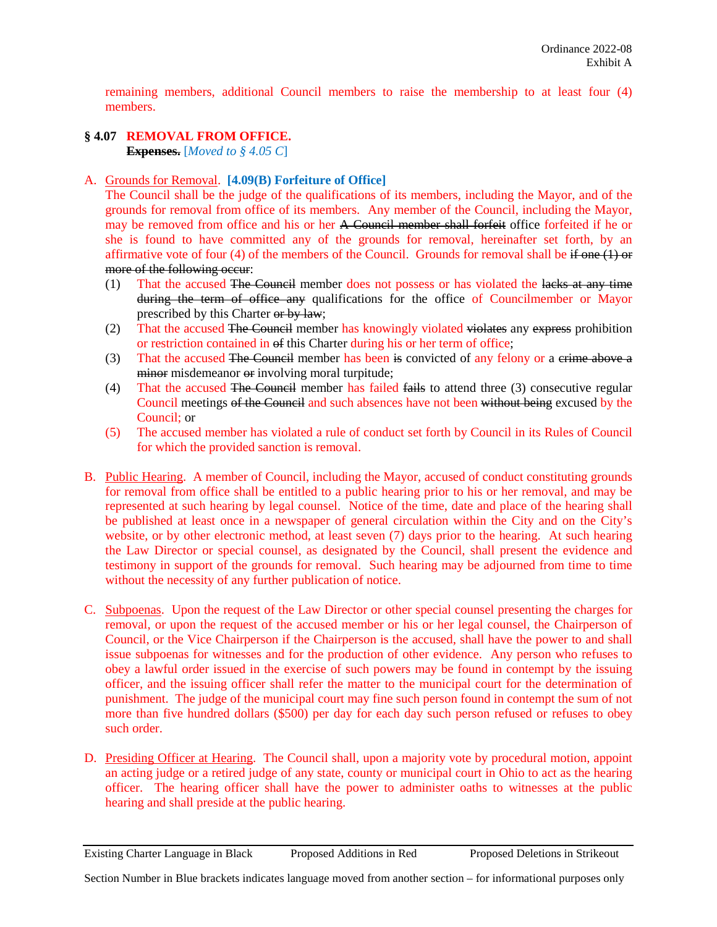remaining members, additional Council members to raise the membership to at least four (4) members.

# **§ 4.07 REMOVAL FROM OFFICE.**

**Expenses.** [*Moved to § 4.05 C*]

## A. Grounds for Removal. **[4.09(B) Forfeiture of Office]**

The Council shall be the judge of the qualifications of its members, including the Mayor, and of the grounds for removal from office of its members. Any member of the Council, including the Mayor, may be removed from office and his or her A Council member shall forfeit office forfeited if he or she is found to have committed any of the grounds for removal, hereinafter set forth, by an affirmative vote of four (4) of the members of the Council. Grounds for removal shall be if one  $(1)$  or more of the following occur:

- (1) That the accused The Council member does not possess or has violated the lacks at any time during the term of office any qualifications for the office of Councilmember or Mayor prescribed by this Charter or by law;
- (2) That the accused The Council member has knowingly violated violates any express prohibition or restriction contained in of this Charter during his or her term of office;
- (3) That the accused The Council member has been is convicted of any felony or a erime above a minor misdemeanor or involving moral turpitude;
- (4) That the accused The Council member has failed fails to attend three (3) consecutive regular Council meetings of the Council and such absences have not been without being excused by the Council; or
- (5) The accused member has violated a rule of conduct set forth by Council in its Rules of Council for which the provided sanction is removal.
- B. Public Hearing. A member of Council, including the Mayor, accused of conduct constituting grounds for removal from office shall be entitled to a public hearing prior to his or her removal, and may be represented at such hearing by legal counsel. Notice of the time, date and place of the hearing shall be published at least once in a newspaper of general circulation within the City and on the City's website, or by other electronic method, at least seven (7) days prior to the hearing. At such hearing the Law Director or special counsel, as designated by the Council, shall present the evidence and testimony in support of the grounds for removal. Such hearing may be adjourned from time to time without the necessity of any further publication of notice.
- C. Subpoenas. Upon the request of the Law Director or other special counsel presenting the charges for removal, or upon the request of the accused member or his or her legal counsel, the Chairperson of Council, or the Vice Chairperson if the Chairperson is the accused, shall have the power to and shall issue subpoenas for witnesses and for the production of other evidence. Any person who refuses to obey a lawful order issued in the exercise of such powers may be found in contempt by the issuing officer, and the issuing officer shall refer the matter to the municipal court for the determination of punishment. The judge of the municipal court may fine such person found in contempt the sum of not more than five hundred dollars (\$500) per day for each day such person refused or refuses to obey such order.
- D. Presiding Officer at Hearing. The Council shall, upon a majority vote by procedural motion, appoint an acting judge or a retired judge of any state, county or municipal court in Ohio to act as the hearing officer. The hearing officer shall have the power to administer oaths to witnesses at the public hearing and shall preside at the public hearing.

Existing Charter Language in Black Proposed Additions in Red Proposed Deletions in Strikeout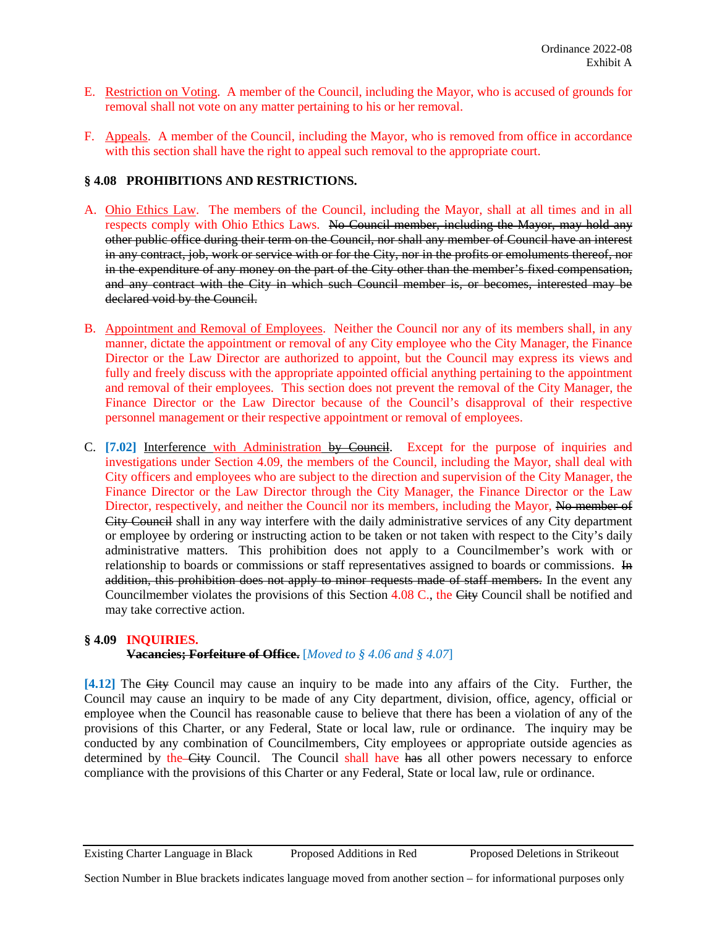- E. Restriction on Voting. A member of the Council, including the Mayor, who is accused of grounds for removal shall not vote on any matter pertaining to his or her removal.
- F. Appeals. A member of the Council, including the Mayor, who is removed from office in accordance with this section shall have the right to appeal such removal to the appropriate court.

## **§ 4.08 PROHIBITIONS AND RESTRICTIONS.**

- A. Ohio Ethics Law. The members of the Council, including the Mayor, shall at all times and in all respects comply with Ohio Ethics Laws. No Council member, including the Mayor, may hold any other public office during their term on the Council, nor shall any member of Council have an interest in any contract, job, work or service with or for the City, nor in the profits or emoluments thereof, nor in the expenditure of any money on the part of the City other than the member's fixed compensation, and any contract with the City in which such Council member is, or becomes, interested may be declared void by the Council.
- B. Appointment and Removal of Employees. Neither the Council nor any of its members shall, in any manner, dictate the appointment or removal of any City employee who the City Manager, the Finance Director or the Law Director are authorized to appoint, but the Council may express its views and fully and freely discuss with the appropriate appointed official anything pertaining to the appointment and removal of their employees. This section does not prevent the removal of the City Manager, the Finance Director or the Law Director because of the Council's disapproval of their respective personnel management or their respective appointment or removal of employees.
- C. [7.02] Interference with Administration by Council. Except for the purpose of inquiries and investigations under Section 4.09, the members of the Council, including the Mayor, shall deal with City officers and employees who are subject to the direction and supervision of the City Manager, the Finance Director or the Law Director through the City Manager, the Finance Director or the Law Director, respectively, and neither the Council nor its members, including the Mayor, No member of City Council shall in any way interfere with the daily administrative services of any City department or employee by ordering or instructing action to be taken or not taken with respect to the City's daily administrative matters. This prohibition does not apply to a Councilmember's work with or relationship to boards or commissions or staff representatives assigned to boards or commissions. In addition, this prohibition does not apply to minor requests made of staff members. In the event any Councilmember violates the provisions of this Section 4.08 C., the City Council shall be notified and may take corrective action.

## **§ 4.09 INQUIRIES.**

**Vacancies; Forfeiture of Office.** [*Moved to § 4.06 and § 4.07*]

**[4.12]** The City Council may cause an inquiry to be made into any affairs of the City. Further, the Council may cause an inquiry to be made of any City department, division, office, agency, official or employee when the Council has reasonable cause to believe that there has been a violation of any of the provisions of this Charter, or any Federal, State or local law, rule or ordinance. The inquiry may be conducted by any combination of Councilmembers, City employees or appropriate outside agencies as determined by the-City Council. The Council shall have has all other powers necessary to enforce compliance with the provisions of this Charter or any Federal, State or local law, rule or ordinance.

Existing Charter Language in Black Proposed Additions in Red Proposed Deletions in Strikeout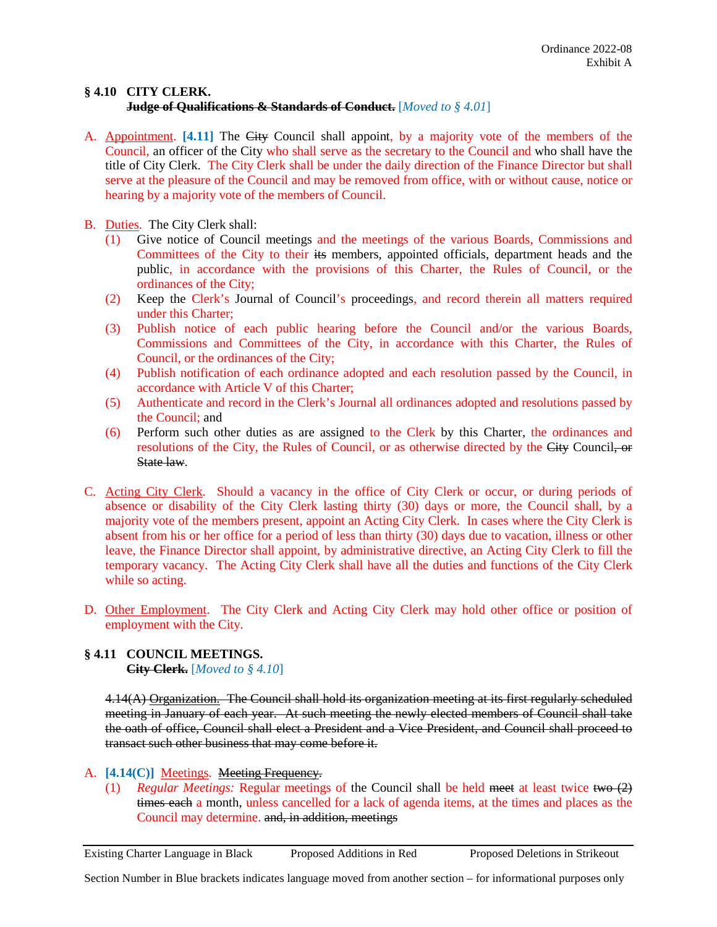### **§ 4.10 CITY CLERK. Judge of Qualifications & Standards of Conduct.** [*Moved to § 4.01*]

- A. Appointment. **[4.11]** The City Council shall appoint, by a majority vote of the members of the Council, an officer of the City who shall serve as the secretary to the Council and who shall have the title of City Clerk. The City Clerk shall be under the daily direction of the Finance Director but shall serve at the pleasure of the Council and may be removed from office, with or without cause, notice or hearing by a majority vote of the members of Council.
- B. Duties. The City Clerk shall:
	- (1) Give notice of Council meetings and the meetings of the various Boards, Commissions and Committees of the City to their its members, appointed officials, department heads and the public, in accordance with the provisions of this Charter, the Rules of Council, or the ordinances of the City;
	- (2) Keep the Clerk's Journal of Council's proceedings, and record therein all matters required under this Charter;
	- (3) Publish notice of each public hearing before the Council and/or the various Boards, Commissions and Committees of the City, in accordance with this Charter, the Rules of Council, or the ordinances of the City;
	- (4) Publish notification of each ordinance adopted and each resolution passed by the Council, in accordance with Article V of this Charter;
	- (5) Authenticate and record in the Clerk's Journal all ordinances adopted and resolutions passed by the Council; and
	- (6) Perform such other duties as are assigned to the Clerk by this Charter, the ordinances and resolutions of the City, the Rules of Council, or as otherwise directed by the City Council, or State law.
- C. Acting City Clerk. Should a vacancy in the office of City Clerk or occur, or during periods of absence or disability of the City Clerk lasting thirty (30) days or more, the Council shall, by a majority vote of the members present, appoint an Acting City Clerk. In cases where the City Clerk is absent from his or her office for a period of less than thirty (30) days due to vacation, illness or other leave, the Finance Director shall appoint, by administrative directive, an Acting City Clerk to fill the temporary vacancy. The Acting City Clerk shall have all the duties and functions of the City Clerk while so acting.
- D. Other Employment. The City Clerk and Acting City Clerk may hold other office or position of employment with the City.

### **§ 4.11 COUNCIL MEETINGS. City Clerk.** [*Moved to § 4.10*]

4.14(A) Organization. The Council shall hold its organization meeting at its first regularly scheduled meeting in January of each year. At such meeting the newly elected members of Council shall take the oath of office, Council shall elect a President and a Vice President, and Council shall proceed to transact such other business that may come before it.

- A. [4.14(C)] Meetings. Meeting Frequency.
	- (1) *Regular Meetings:* Regular meetings of the Council shall be held meet at least twice two (2) times each a month, unless cancelled for a lack of agenda items, at the times and places as the Council may determine. and, in addition, meetings

Existing Charter Language in Black Proposed Additions in Red Proposed Deletions in Strikeout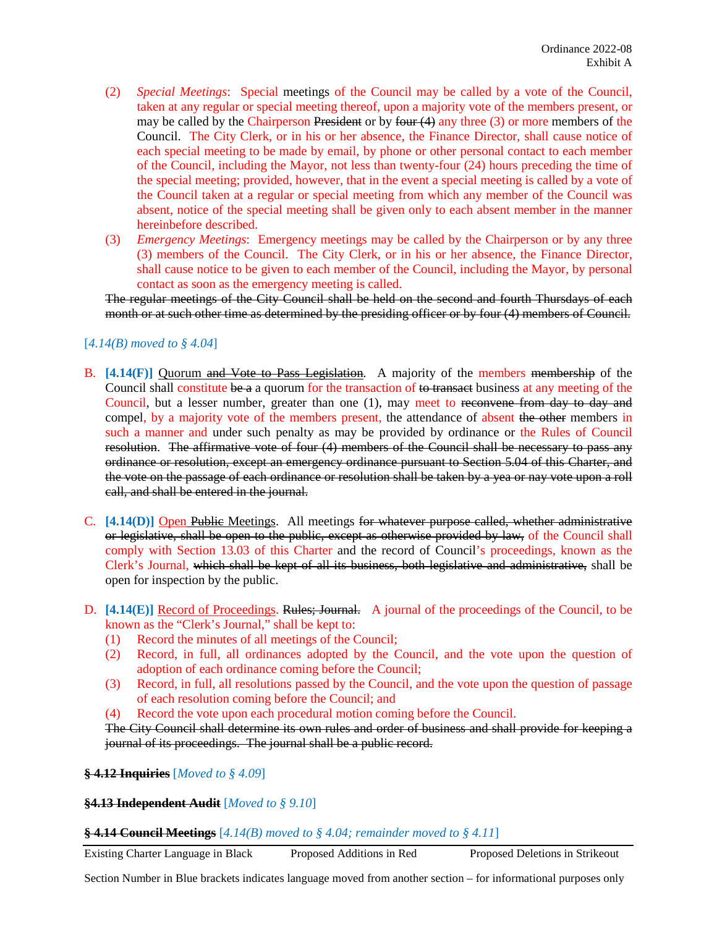- (2) *Special Meetings*: Special meetings of the Council may be called by a vote of the Council, taken at any regular or special meeting thereof, upon a majority vote of the members present, or may be called by the Chairperson President or by four  $(4)$  any three  $(3)$  or more members of the Council. The City Clerk, or in his or her absence, the Finance Director, shall cause notice of each special meeting to be made by email, by phone or other personal contact to each member of the Council, including the Mayor, not less than twenty-four (24) hours preceding the time of the special meeting; provided, however, that in the event a special meeting is called by a vote of the Council taken at a regular or special meeting from which any member of the Council was absent, notice of the special meeting shall be given only to each absent member in the manner hereinbefore described.
- (3) *Emergency Meetings*: Emergency meetings may be called by the Chairperson or by any three (3) members of the Council. The City Clerk, or in his or her absence, the Finance Director, shall cause notice to be given to each member of the Council, including the Mayor, by personal contact as soon as the emergency meeting is called.

The regular meetings of the City Council shall be held on the second and fourth Thursdays of each month or at such other time as determined by the presiding officer or by four (4) members of Council.

## [*4.14(B) moved to § 4.04*]

- B. [4.14(F)] Quorum and Vote to Pass Legislation. A majority of the members membership of the Council shall constitute be a a quorum for the transaction of to transact business at any meeting of the Council, but a lesser number, greater than one (1), may meet to reconvene from day to day and compel, by a majority vote of the members present, the attendance of absent the other members in such a manner and under such penalty as may be provided by ordinance or the Rules of Council resolution. The affirmative vote of four (4) members of the Council shall be necessary to pass any ordinance or resolution, except an emergency ordinance pursuant to Section 5.04 of this Charter, and the vote on the passage of each ordinance or resolution shall be taken by a yea or nay vote upon a roll call, and shall be entered in the journal.
- C. **[4.14(D)]** Open Public Meetings. All meetings for whatever purpose called, whether administrative or legislative, shall be open to the public, except as otherwise provided by law, of the Council shall comply with Section 13.03 of this Charter and the record of Council's proceedings, known as the Clerk's Journal, which shall be kept of all its business, both legislative and administrative, shall be open for inspection by the public.
- D. [4.14(E)] Record of Proceedings. Rules; Journal. A journal of the proceedings of the Council, to be known as the "Clerk's Journal," shall be kept to:
	- (1) Record the minutes of all meetings of the Council;
	- (2) Record, in full, all ordinances adopted by the Council, and the vote upon the question of adoption of each ordinance coming before the Council;
	- (3) Record, in full, all resolutions passed by the Council, and the vote upon the question of passage of each resolution coming before the Council; and
	- (4) Record the vote upon each procedural motion coming before the Council.

The City Council shall determine its own rules and order of business and shall provide for keeping a journal of its proceedings. The journal shall be a public record.

### **§ 4.12 Inquiries** [*Moved to § 4.09*]

#### **§4.13 Independent Audit** [*Moved to § 9.10*]

### **§ 4.14 Council Meetings** [*4.14(B) moved to § 4.04; remainder moved to § 4.11*]

Existing Charter Language in Black Proposed Additions in Red Proposed Deletions in Strikeout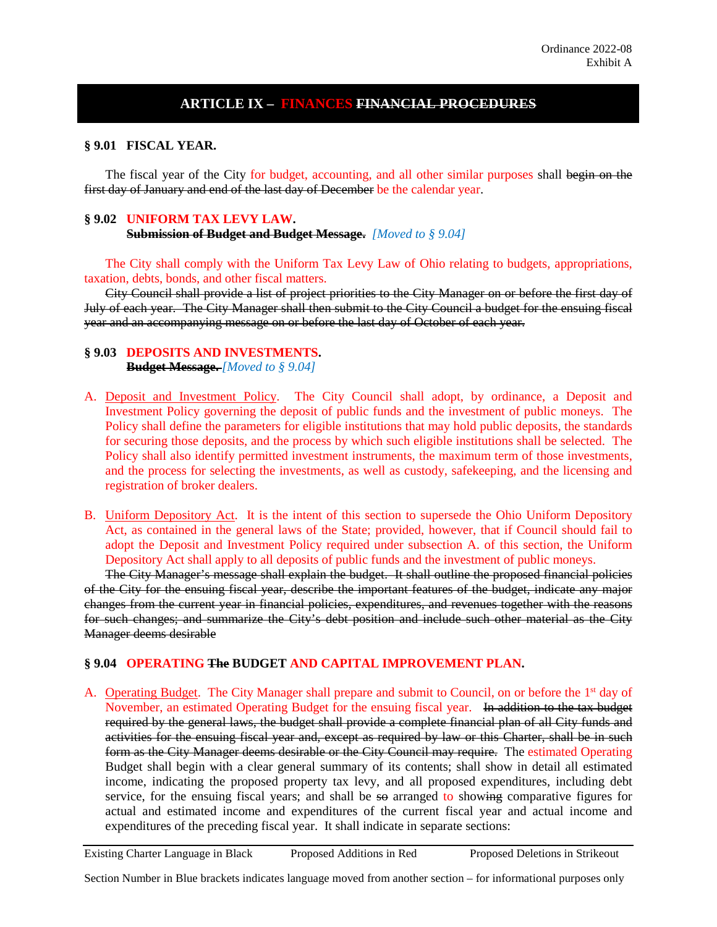# **ARTICLE IX – FINANCES FINANCIAL PROCEDURES**

**§ 9.01 FISCAL YEAR.**

The fiscal year of the City for budget, accounting, and all other similar purposes shall begin on the first day of January and end of the last day of December be the calendar year.

## **§ 9.02 UNIFORM TAX LEVY LAW.**

**Submission of Budget and Budget Message.** *[Moved to § 9.04]*

The City shall comply with the Uniform Tax Levy Law of Ohio relating to budgets, appropriations, taxation, debts, bonds, and other fiscal matters.

City Council shall provide a list of project priorities to the City Manager on or before the first day of July of each year. The City Manager shall then submit to the City Council a budget for the ensuing fiscal year and an accompanying message on or before the last day of October of each year.

### **§ 9.03 DEPOSITS AND INVESTMENTS.**

**Budget Message.** *[Moved to § 9.04]*

- A. Deposit and Investment Policy. The City Council shall adopt, by ordinance, a Deposit and Investment Policy governing the deposit of public funds and the investment of public moneys. The Policy shall define the parameters for eligible institutions that may hold public deposits, the standards for securing those deposits, and the process by which such eligible institutions shall be selected. The Policy shall also identify permitted investment instruments, the maximum term of those investments, and the process for selecting the investments, as well as custody, safekeeping, and the licensing and registration of broker dealers.
- B. Uniform Depository Act. It is the intent of this section to supersede the Ohio Uniform Depository Act, as contained in the general laws of the State; provided, however, that if Council should fail to adopt the Deposit and Investment Policy required under subsection A. of this section, the Uniform Depository Act shall apply to all deposits of public funds and the investment of public moneys.

The City Manager's message shall explain the budget. It shall outline the proposed financial policies of the City for the ensuing fiscal year, describe the important features of the budget, indicate any major changes from the current year in financial policies, expenditures, and revenues together with the reasons for such changes; and summarize the City's debt position and include such other material as the City Manager deems desirable

### **§ 9.04 OPERATING The BUDGET AND CAPITAL IMPROVEMENT PLAN.**

A. Operating Budget. The City Manager shall prepare and submit to Council, on or before the 1<sup>st</sup> day of November, an estimated Operating Budget for the ensuing fiscal year. In addition to the tax budget required by the general laws, the budget shall provide a complete financial plan of all City funds and activities for the ensuing fiscal year and, except as required by law or this Charter, shall be in such form as the City Manager deems desirable or the City Council may require. The estimated Operating Budget shall begin with a clear general summary of its contents; shall show in detail all estimated income, indicating the proposed property tax levy, and all proposed expenditures, including debt service, for the ensuing fiscal years; and shall be so arranged to showing comparative figures for actual and estimated income and expenditures of the current fiscal year and actual income and expenditures of the preceding fiscal year. It shall indicate in separate sections:

Existing Charter Language in Black Proposed Additions in Red Proposed Deletions in Strikeout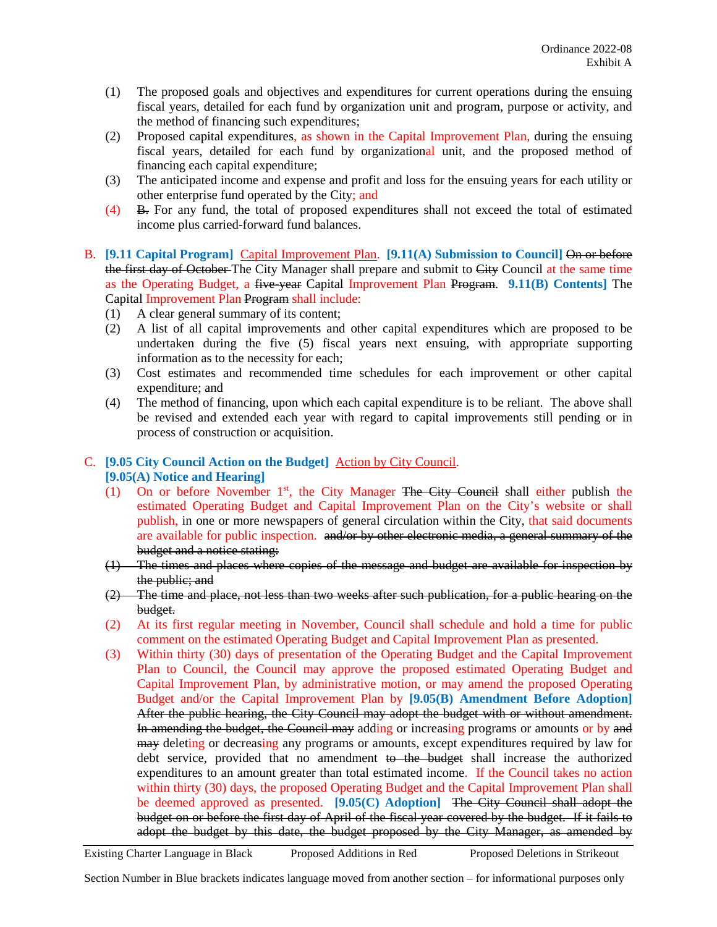- (1) The proposed goals and objectives and expenditures for current operations during the ensuing fiscal years, detailed for each fund by organization unit and program, purpose or activity, and the method of financing such expenditures;
- (2) Proposed capital expenditures, as shown in the Capital Improvement Plan, during the ensuing fiscal years, detailed for each fund by organizational unit, and the proposed method of financing each capital expenditure;
- (3) The anticipated income and expense and profit and loss for the ensuing years for each utility or other enterprise fund operated by the City; and
- (4) B. For any fund, the total of proposed expenditures shall not exceed the total of estimated income plus carried-forward fund balances.
- B. **[9.11 Capital Program]** Capital Improvement Plan. **[9.11(A) Submission to Council]** On or before the first day of October-The City Manager shall prepare and submit to City Council at the same time as the Operating Budget, a five-year Capital Improvement Plan Program. **9.11(B) Contents]** The Capital Improvement Plan Program shall include:
	- (1) A clear general summary of its content;
	- (2) A list of all capital improvements and other capital expenditures which are proposed to be undertaken during the five (5) fiscal years next ensuing, with appropriate supporting information as to the necessity for each;
	- (3) Cost estimates and recommended time schedules for each improvement or other capital expenditure; and
	- (4) The method of financing, upon which each capital expenditure is to be reliant. The above shall be revised and extended each year with regard to capital improvements still pending or in process of construction or acquisition.

## C. **[9.05 City Council Action on the Budget]** Action by City Council. **[9.05(A) Notice and Hearing]**

- (1) On or before November 1<sup>st</sup>, the City Manager The City Council shall either publish the estimated Operating Budget and Capital Improvement Plan on the City's website or shall publish, in one or more newspapers of general circulation within the City, that said documents are available for public inspection. and/or by other electronic media, a general summary of the budget and a notice stating:
- (1) The times and places where copies of the message and budget are available for inspection by the public; and
- (2) The time and place, not less than two weeks after such publication, for a public hearing on the budget.
- (2) At its first regular meeting in November, Council shall schedule and hold a time for public comment on the estimated Operating Budget and Capital Improvement Plan as presented.
- (3) Within thirty (30) days of presentation of the Operating Budget and the Capital Improvement Plan to Council, the Council may approve the proposed estimated Operating Budget and Capital Improvement Plan, by administrative motion, or may amend the proposed Operating Budget and/or the Capital Improvement Plan by **[9.05(B) Amendment Before Adoption]** After the public hearing, the City Council may adopt the budget with or without amendment. In amending the budget, the Council may adding or increasing programs or amounts or by and may deleting or decreasing any programs or amounts, except expenditures required by law for debt service, provided that no amendment to the budget shall increase the authorized expenditures to an amount greater than total estimated income. If the Council takes no action within thirty (30) days, the proposed Operating Budget and the Capital Improvement Plan shall be deemed approved as presented. **[9.05(C) Adoption]** The City Council shall adopt the budget on or before the first day of April of the fiscal year covered by the budget. If it fails to adopt the budget by this date, the budget proposed by the City Manager, as amended by

Existing Charter Language in Black Proposed Additions in Red Proposed Deletions in Strikeout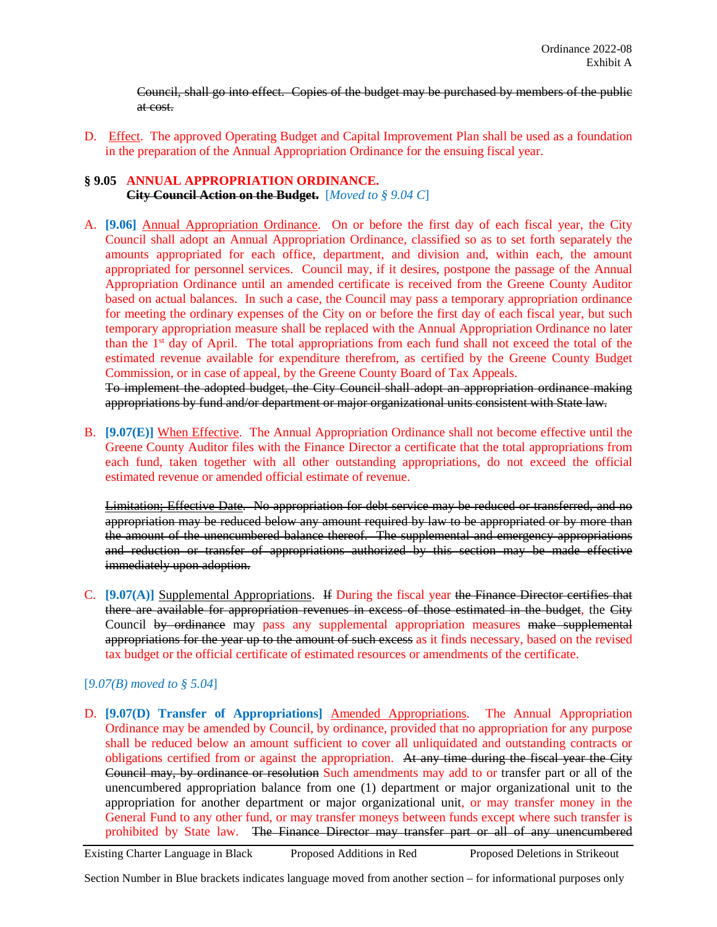Council, shall go into effect. Copies of the budget may be purchased by members of the public at cost.

D. Effect. The approved Operating Budget and Capital Improvement Plan shall be used as a foundation in the preparation of the Annual Appropriation Ordinance for the ensuing fiscal year.

#### **§ 9.05 ANNUAL APPROPRIATION ORDINANCE. City Council Action on the Budget.** [*Moved to § 9.04 C*]

A. **[9.06]** Annual Appropriation Ordinance. On or before the first day of each fiscal year, the City Council shall adopt an Annual Appropriation Ordinance, classified so as to set forth separately the amounts appropriated for each office, department, and division and, within each, the amount appropriated for personnel services. Council may, if it desires, postpone the passage of the Annual Appropriation Ordinance until an amended certificate is received from the Greene County Auditor based on actual balances. In such a case, the Council may pass a temporary appropriation ordinance for meeting the ordinary expenses of the City on or before the first day of each fiscal year, but such temporary appropriation measure shall be replaced with the Annual Appropriation Ordinance no later than the  $1<sup>st</sup>$  day of April. The total appropriations from each fund shall not exceed the total of the estimated revenue available for expenditure therefrom, as certified by the Greene County Budget Commission, or in case of appeal, by the Greene County Board of Tax Appeals.

To implement the adopted budget, the City Council shall adopt an appropriation ordinance making appropriations by fund and/or department or major organizational units consistent with State law.

B. **[9.07(E)]** When Effective. The Annual Appropriation Ordinance shall not become effective until the Greene County Auditor files with the Finance Director a certificate that the total appropriations from each fund, taken together with all other outstanding appropriations, do not exceed the official estimated revenue or amended official estimate of revenue.

Limitation; Effective Date. No appropriation for debt service may be reduced or transferred, and no appropriation may be reduced below any amount required by law to be appropriated or by more than the amount of the unencumbered balance thereof. The supplemental and emergency appropriations and reduction or transfer of appropriations authorized by this section may be made effective immediately upon adoption.

C. **[9.07(A)]** Supplemental Appropriations. If During the fiscal year the Finance Director certifies that there are available for appropriation revenues in excess of those estimated in the budget, the City Council by ordinance may pass any supplemental appropriation measures make supplemental appropriations for the year up to the amount of such excess as it finds necessary, based on the revised tax budget or the official certificate of estimated resources or amendments of the certificate.

## [*9.07(B) moved to § 5.04*]

D. **[9.07(D) Transfer of Appropriations]** Amended Appropriations. The Annual Appropriation Ordinance may be amended by Council, by ordinance, provided that no appropriation for any purpose shall be reduced below an amount sufficient to cover all unliquidated and outstanding contracts or obligations certified from or against the appropriation. At any time during the fiscal year the City Council may, by ordinance or resolution Such amendments may add to or transfer part or all of the unencumbered appropriation balance from one (1) department or major organizational unit to the appropriation for another department or major organizational unit, or may transfer money in the General Fund to any other fund, or may transfer moneys between funds except where such transfer is prohibited by State law. The Finance Director may transfer part or all of any unencumbered

Existing Charter Language in Black Proposed Additions in Red Proposed Deletions in Strikeout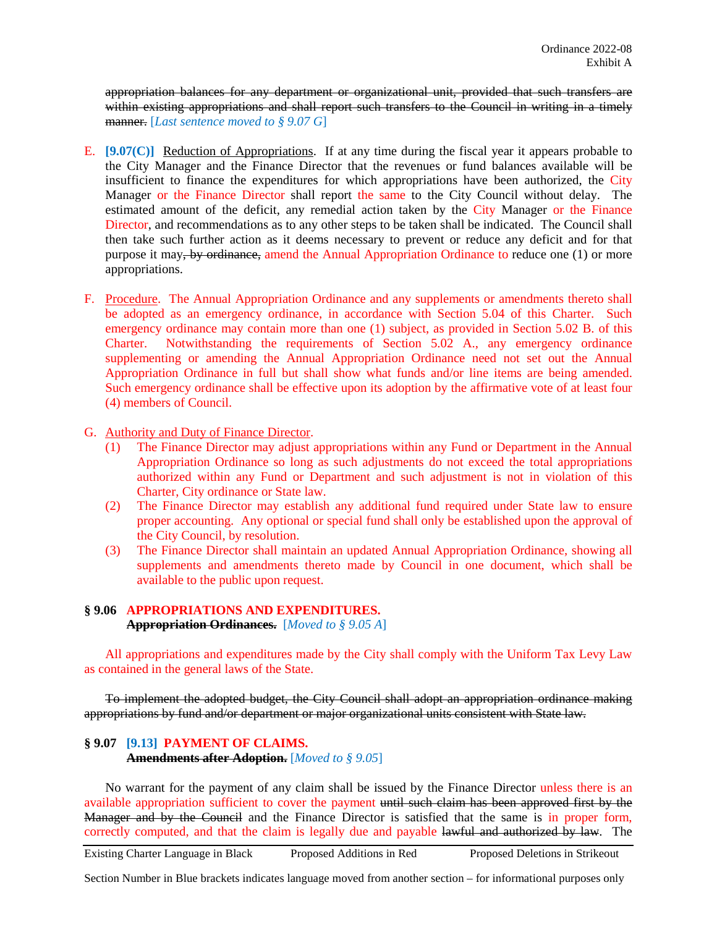appropriation balances for any department or organizational unit, provided that such transfers are within existing appropriations and shall report such transfers to the Council in writing in a timely manner. [*Last sentence moved to § 9.07 G*]

- E. **[9.07(C)]** Reduction of Appropriations. If at any time during the fiscal year it appears probable to the City Manager and the Finance Director that the revenues or fund balances available will be insufficient to finance the expenditures for which appropriations have been authorized, the City Manager or the Finance Director shall report the same to the City Council without delay. The estimated amount of the deficit, any remedial action taken by the City Manager or the Finance Director, and recommendations as to any other steps to be taken shall be indicated. The Council shall then take such further action as it deems necessary to prevent or reduce any deficit and for that purpose it may, by ordinance, amend the Annual Appropriation Ordinance to reduce one (1) or more appropriations.
- F. Procedure. The Annual Appropriation Ordinance and any supplements or amendments thereto shall be adopted as an emergency ordinance, in accordance with Section 5.04 of this Charter. Such emergency ordinance may contain more than one (1) subject, as provided in Section 5.02 B. of this Charter. Notwithstanding the requirements of Section 5.02 A., any emergency ordinance supplementing or amending the Annual Appropriation Ordinance need not set out the Annual Appropriation Ordinance in full but shall show what funds and/or line items are being amended. Such emergency ordinance shall be effective upon its adoption by the affirmative vote of at least four (4) members of Council.
- G. Authority and Duty of Finance Director.
	- (1) The Finance Director may adjust appropriations within any Fund or Department in the Annual Appropriation Ordinance so long as such adjustments do not exceed the total appropriations authorized within any Fund or Department and such adjustment is not in violation of this Charter, City ordinance or State law.
	- (2) The Finance Director may establish any additional fund required under State law to ensure proper accounting. Any optional or special fund shall only be established upon the approval of the City Council, by resolution.
	- (3) The Finance Director shall maintain an updated Annual Appropriation Ordinance, showing all supplements and amendments thereto made by Council in one document, which shall be available to the public upon request.

## **§ 9.06 APPROPRIATIONS AND EXPENDITURES. Appropriation Ordinances.** [*Moved to § 9.05 A*]

All appropriations and expenditures made by the City shall comply with the Uniform Tax Levy Law as contained in the general laws of the State.

To implement the adopted budget, the City Council shall adopt an appropriation ordinance making appropriations by fund and/or department or major organizational units consistent with State law.

## **§ 9.07 [9.13] PAYMENT OF CLAIMS. Amendments after Adoption.** [*Moved to § 9.05*]

No warrant for the payment of any claim shall be issued by the Finance Director unless there is an available appropriation sufficient to cover the payment until such claim has been approved first by the Manager and by the Council and the Finance Director is satisfied that the same is in proper form, correctly computed, and that the claim is legally due and payable lawful and authorized by law. The

Existing Charter Language in Black Proposed Additions in Red Proposed Deletions in Strikeout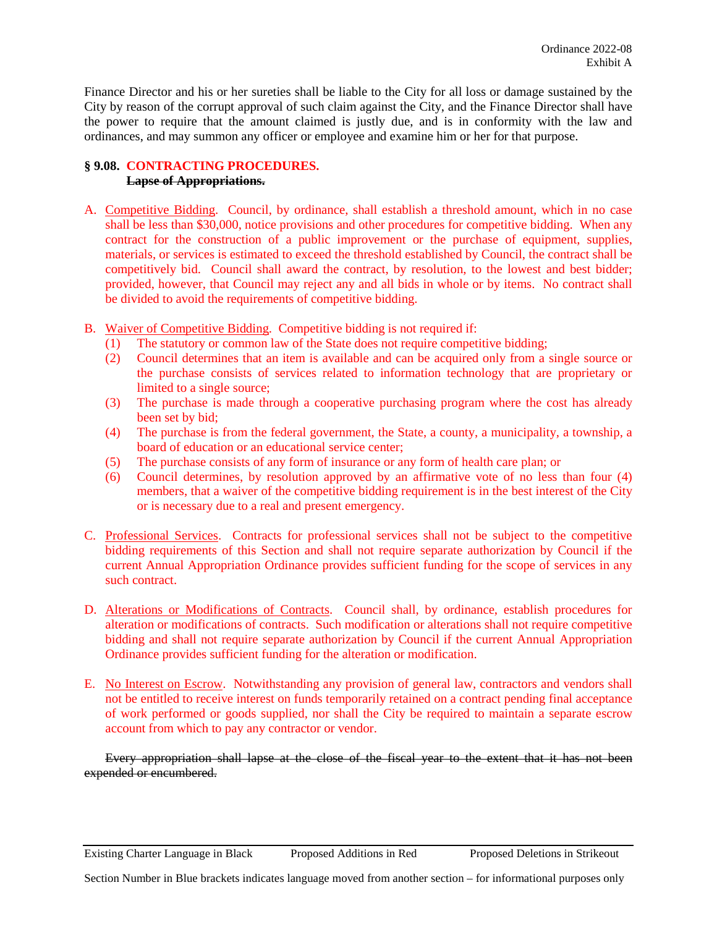Finance Director and his or her sureties shall be liable to the City for all loss or damage sustained by the City by reason of the corrupt approval of such claim against the City, and the Finance Director shall have the power to require that the amount claimed is justly due, and is in conformity with the law and ordinances, and may summon any officer or employee and examine him or her for that purpose.

# **§ 9.08. CONTRACTING PROCEDURES.**

# **Lapse of Appropriations.**

- A. Competitive Bidding. Council, by ordinance, shall establish a threshold amount, which in no case shall be less than \$30,000, notice provisions and other procedures for competitive bidding. When any contract for the construction of a public improvement or the purchase of equipment, supplies, materials, or services is estimated to exceed the threshold established by Council, the contract shall be competitively bid. Council shall award the contract, by resolution, to the lowest and best bidder; provided, however, that Council may reject any and all bids in whole or by items. No contract shall be divided to avoid the requirements of competitive bidding.
- B. Waiver of Competitive Bidding. Competitive bidding is not required if:
	- (1) The statutory or common law of the State does not require competitive bidding;
	- (2) Council determines that an item is available and can be acquired only from a single source or the purchase consists of services related to information technology that are proprietary or limited to a single source;
	- (3) The purchase is made through a cooperative purchasing program where the cost has already been set by bid;
	- (4) The purchase is from the federal government, the State, a county, a municipality, a township, a board of education or an educational service center;
	- (5) The purchase consists of any form of insurance or any form of health care plan; or
	- (6) Council determines, by resolution approved by an affirmative vote of no less than four (4) members, that a waiver of the competitive bidding requirement is in the best interest of the City or is necessary due to a real and present emergency.
- C. Professional Services. Contracts for professional services shall not be subject to the competitive bidding requirements of this Section and shall not require separate authorization by Council if the current Annual Appropriation Ordinance provides sufficient funding for the scope of services in any such contract.
- D. Alterations or Modifications of Contracts. Council shall, by ordinance, establish procedures for alteration or modifications of contracts. Such modification or alterations shall not require competitive bidding and shall not require separate authorization by Council if the current Annual Appropriation Ordinance provides sufficient funding for the alteration or modification.
- E. No Interest on Escrow. Notwithstanding any provision of general law, contractors and vendors shall not be entitled to receive interest on funds temporarily retained on a contract pending final acceptance of work performed or goods supplied, nor shall the City be required to maintain a separate escrow account from which to pay any contractor or vendor.

Every appropriation shall lapse at the close of the fiscal year to the extent that it has not been expended or encumbered.

Existing Charter Language in Black Proposed Additions in Red Proposed Deletions in Strikeout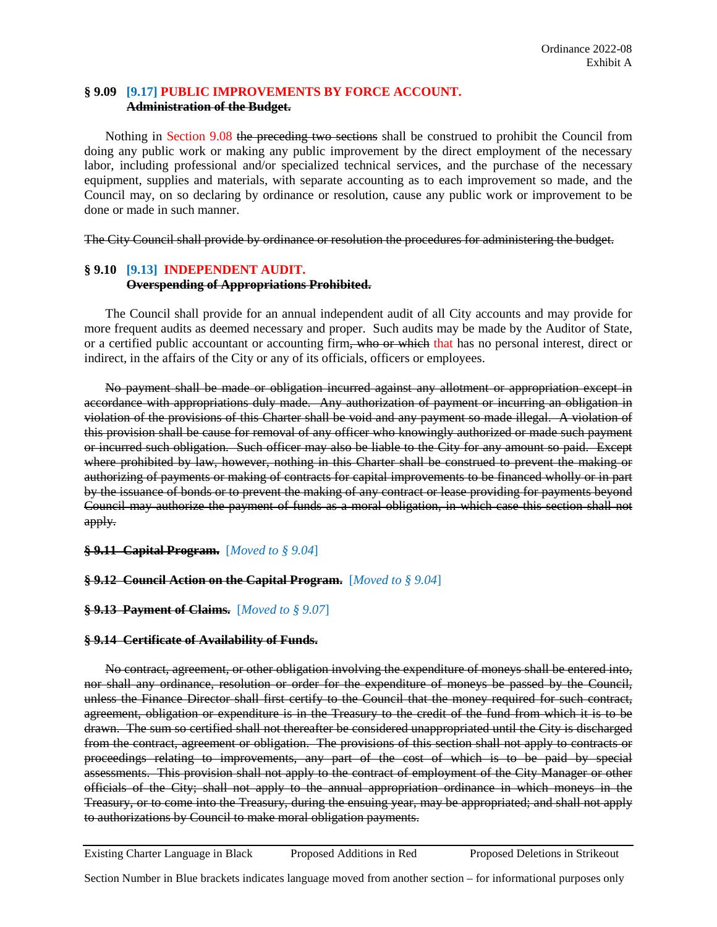### **§ 9.09 [9.17] PUBLIC IMPROVEMENTS BY FORCE ACCOUNT. Administration of the Budget.**

Nothing in Section 9.08 the preceding two sections shall be construed to prohibit the Council from doing any public work or making any public improvement by the direct employment of the necessary labor, including professional and/or specialized technical services, and the purchase of the necessary equipment, supplies and materials, with separate accounting as to each improvement so made, and the Council may, on so declaring by ordinance or resolution, cause any public work or improvement to be done or made in such manner.

The City Council shall provide by ordinance or resolution the procedures for administering the budget.

# **§ 9.10 [9.13] INDEPENDENT AUDIT. Overspending of Appropriations Prohibited.**

The Council shall provide for an annual independent audit of all City accounts and may provide for more frequent audits as deemed necessary and proper. Such audits may be made by the Auditor of State, or a certified public accountant or accounting firm, who or which that has no personal interest, direct or indirect, in the affairs of the City or any of its officials, officers or employees.

No payment shall be made or obligation incurred against any allotment or appropriation except in accordance with appropriations duly made. Any authorization of payment or incurring an obligation in violation of the provisions of this Charter shall be void and any payment so made illegal. A violation of this provision shall be cause for removal of any officer who knowingly authorized or made such payment or incurred such obligation. Such officer may also be liable to the City for any amount so paid. Except where prohibited by law, however, nothing in this Charter shall be construed to prevent the making or authorizing of payments or making of contracts for capital improvements to be financed wholly or in part by the issuance of bonds or to prevent the making of any contract or lease providing for payments beyond Council may authorize the payment of funds as a moral obligation, in which case this section shall not apply.

### **§ 9.11 Capital Program.** [*Moved to § 9.04*]

### **§ 9.12 Council Action on the Capital Program.** [*Moved to § 9.04*]

### **§ 9.13 Payment of Claims.** [*Moved to § 9.07*]

### **§ 9.14 Certificate of Availability of Funds.**

No contract, agreement, or other obligation involving the expenditure of moneys shall be entered into, nor shall any ordinance, resolution or order for the expenditure of moneys be passed by the Council, unless the Finance Director shall first certify to the Council that the money required for such contract, agreement, obligation or expenditure is in the Treasury to the credit of the fund from which it is to be drawn. The sum so certified shall not thereafter be considered unappropriated until the City is discharged from the contract, agreement or obligation. The provisions of this section shall not apply to contracts or proceedings relating to improvements, any part of the cost of which is to be paid by special assessments. This provision shall not apply to the contract of employment of the City Manager or other officials of the City; shall not apply to the annual appropriation ordinance in which moneys in the Treasury, or to come into the Treasury, during the ensuing year, may be appropriated; and shall not apply to authorizations by Council to make moral obligation payments.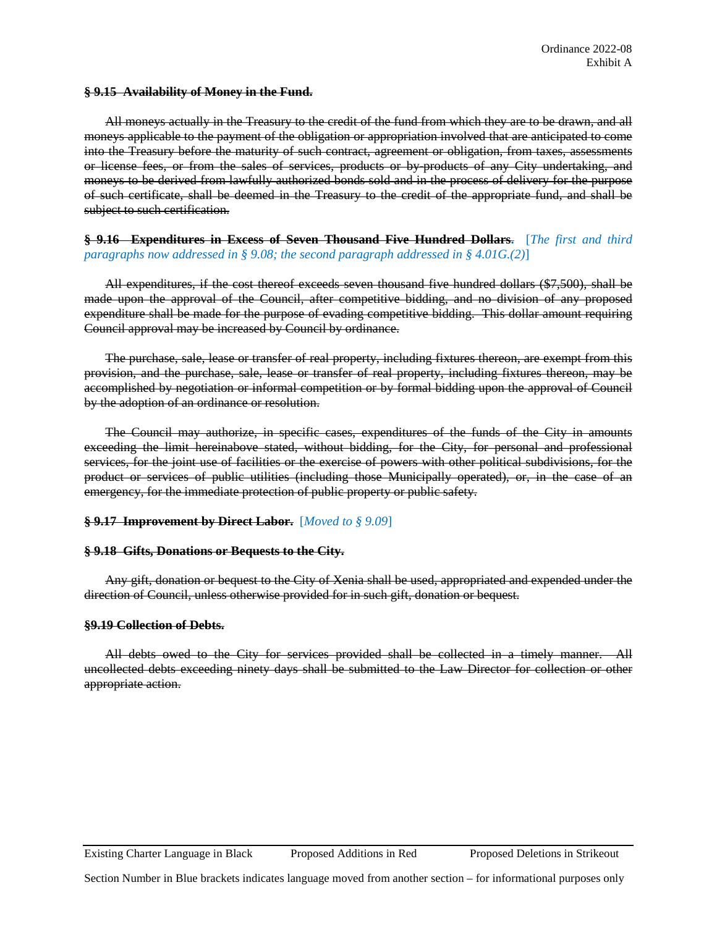#### **§ 9.15 Availability of Money in the Fund.**

All moneys actually in the Treasury to the credit of the fund from which they are to be drawn, and all moneys applicable to the payment of the obligation or appropriation involved that are anticipated to come into the Treasury before the maturity of such contract, agreement or obligation, from taxes, assessments or license fees, or from the sales of services, products or by-products of any City undertaking, and moneys to be derived from lawfully authorized bonds sold and in the process of delivery for the purpose of such certificate, shall be deemed in the Treasury to the credit of the appropriate fund, and shall be subject to such certification.

### **§ 9.16 Expenditures in Excess of Seven Thousand Five Hundred Dollars.** [*The first and third paragraphs now addressed in § 9.08; the second paragraph addressed in § 4.01G.(2)*]

All expenditures, if the cost thereof exceeds seven thousand five hundred dollars (\$7,500), shall be made upon the approval of the Council, after competitive bidding, and no division of any proposed expenditure shall be made for the purpose of evading competitive bidding. This dollar amount requiring Council approval may be increased by Council by ordinance.

The purchase, sale, lease or transfer of real property, including fixtures thereon, are exempt from this provision, and the purchase, sale, lease or transfer of real property, including fixtures thereon, may be accomplished by negotiation or informal competition or by formal bidding upon the approval of Council by the adoption of an ordinance or resolution.

The Council may authorize, in specific cases, expenditures of the funds of the City in amounts exceeding the limit hereinabove stated, without bidding, for the City, for personal and professional services, for the joint use of facilities or the exercise of powers with other political subdivisions, for the product or services of public utilities (including those Municipally operated), or, in the case of an emergency, for the immediate protection of public property or public safety.

#### **§ 9.17 Improvement by Direct Labor.** [*Moved to § 9.09*]

#### **§ 9.18 Gifts, Donations or Bequests to the City.**

Any gift, donation or bequest to the City of Xenia shall be used, appropriated and expended under the direction of Council, unless otherwise provided for in such gift, donation or bequest.

#### **§9.19 Collection of Debts.**

All debts owed to the City for services provided shall be collected in a timely manner. All uncollected debts exceeding ninety days shall be submitted to the Law Director for collection or other appropriate action.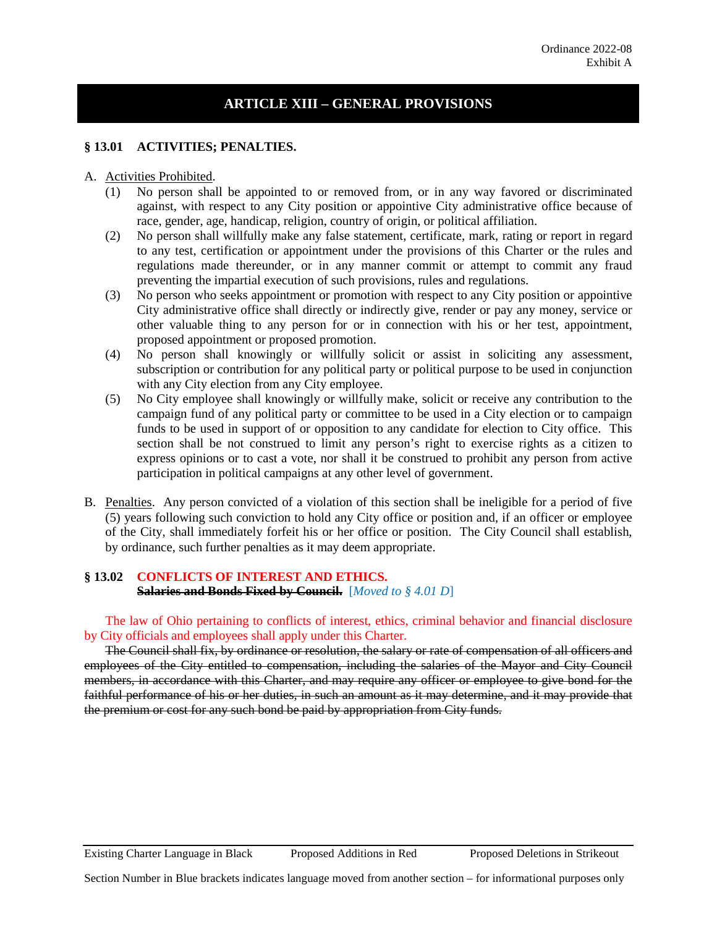# **ARTICLE XIII – GENERAL PROVISIONS**

### **§ 13.01 ACTIVITIES; PENALTIES.**

#### A. Activities Prohibited.

- (1) No person shall be appointed to or removed from, or in any way favored or discriminated against, with respect to any City position or appointive City administrative office because of race, gender, age, handicap, religion, country of origin, or political affiliation.
- (2) No person shall willfully make any false statement, certificate, mark, rating or report in regard to any test, certification or appointment under the provisions of this Charter or the rules and regulations made thereunder, or in any manner commit or attempt to commit any fraud preventing the impartial execution of such provisions, rules and regulations.
- (3) No person who seeks appointment or promotion with respect to any City position or appointive City administrative office shall directly or indirectly give, render or pay any money, service or other valuable thing to any person for or in connection with his or her test, appointment, proposed appointment or proposed promotion.
- (4) No person shall knowingly or willfully solicit or assist in soliciting any assessment, subscription or contribution for any political party or political purpose to be used in conjunction with any City election from any City employee.
- (5) No City employee shall knowingly or willfully make, solicit or receive any contribution to the campaign fund of any political party or committee to be used in a City election or to campaign funds to be used in support of or opposition to any candidate for election to City office. This section shall be not construed to limit any person's right to exercise rights as a citizen to express opinions or to cast a vote, nor shall it be construed to prohibit any person from active participation in political campaigns at any other level of government.
- B. Penalties. Any person convicted of a violation of this section shall be ineligible for a period of five (5) years following such conviction to hold any City office or position and, if an officer or employee of the City, shall immediately forfeit his or her office or position. The City Council shall establish, by ordinance, such further penalties as it may deem appropriate.

### **§ 13.02 CONFLICTS OF INTEREST AND ETHICS. Salaries and Bonds Fixed by Council.** [*Moved to § 4.01 D*]

The law of Ohio pertaining to conflicts of interest, ethics, criminal behavior and financial disclosure by City officials and employees shall apply under this Charter.

The Council shall fix, by ordinance or resolution, the salary or rate of compensation of all officers and employees of the City entitled to compensation, including the salaries of the Mayor and City Council members, in accordance with this Charter, and may require any officer or employee to give bond for the faithful performance of his or her duties, in such an amount as it may determine, and it may provide that the premium or cost for any such bond be paid by appropriation from City funds.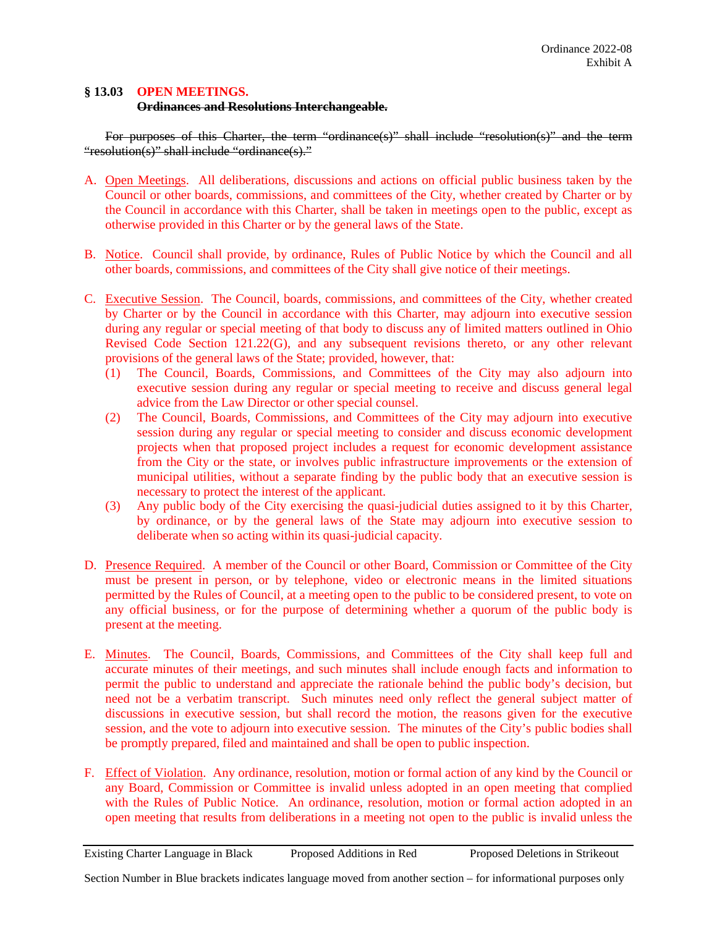## **§ 13.03 OPEN MEETINGS.**

### **Ordinances and Resolutions Interchangeable.**

For purposes of this Charter, the term "ordinance(s)" shall include "resolution(s)" and the term "resolution(s)" shall include "ordinance(s)."

- A. Open Meetings. All deliberations, discussions and actions on official public business taken by the Council or other boards, commissions, and committees of the City, whether created by Charter or by the Council in accordance with this Charter, shall be taken in meetings open to the public, except as otherwise provided in this Charter or by the general laws of the State.
- B. Notice. Council shall provide, by ordinance, Rules of Public Notice by which the Council and all other boards, commissions, and committees of the City shall give notice of their meetings.
- C. Executive Session. The Council, boards, commissions, and committees of the City, whether created by Charter or by the Council in accordance with this Charter, may adjourn into executive session during any regular or special meeting of that body to discuss any of limited matters outlined in Ohio Revised Code Section 121.22(G), and any subsequent revisions thereto, or any other relevant provisions of the general laws of the State; provided, however, that:
	- (1) The Council, Boards, Commissions, and Committees of the City may also adjourn into executive session during any regular or special meeting to receive and discuss general legal advice from the Law Director or other special counsel.
	- (2) The Council, Boards, Commissions, and Committees of the City may adjourn into executive session during any regular or special meeting to consider and discuss economic development projects when that proposed project includes a request for economic development assistance from the City or the state, or involves public infrastructure improvements or the extension of municipal utilities, without a separate finding by the public body that an executive session is necessary to protect the interest of the applicant.
	- (3) Any public body of the City exercising the quasi-judicial duties assigned to it by this Charter, by ordinance, or by the general laws of the State may adjourn into executive session to deliberate when so acting within its quasi-judicial capacity.
- D. Presence Required. A member of the Council or other Board, Commission or Committee of the City must be present in person, or by telephone, video or electronic means in the limited situations permitted by the Rules of Council, at a meeting open to the public to be considered present, to vote on any official business, or for the purpose of determining whether a quorum of the public body is present at the meeting.
- E. Minutes. The Council, Boards, Commissions, and Committees of the City shall keep full and accurate minutes of their meetings, and such minutes shall include enough facts and information to permit the public to understand and appreciate the rationale behind the public body's decision, but need not be a verbatim transcript. Such minutes need only reflect the general subject matter of discussions in executive session, but shall record the motion, the reasons given for the executive session, and the vote to adjourn into executive session. The minutes of the City's public bodies shall be promptly prepared, filed and maintained and shall be open to public inspection.
- F. Effect of Violation. Any ordinance, resolution, motion or formal action of any kind by the Council or any Board, Commission or Committee is invalid unless adopted in an open meeting that complied with the Rules of Public Notice. An ordinance, resolution, motion or formal action adopted in an open meeting that results from deliberations in a meeting not open to the public is invalid unless the

Existing Charter Language in Black Proposed Additions in Red Proposed Deletions in Strikeout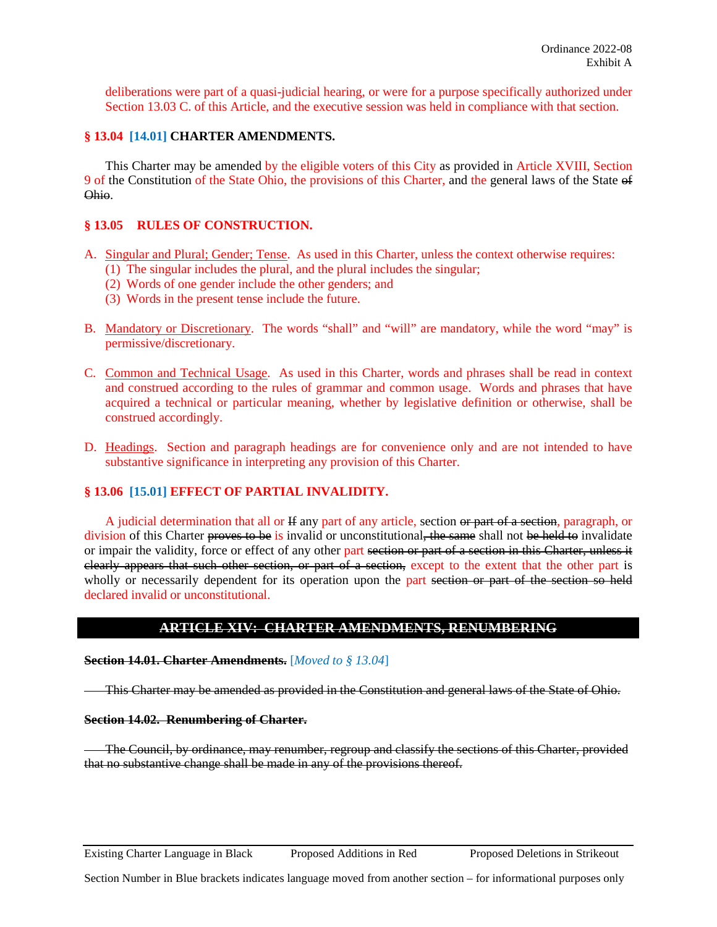deliberations were part of a quasi-judicial hearing, or were for a purpose specifically authorized under Section 13.03 C. of this Article, and the executive session was held in compliance with that section.

### **§ 13.04 [14.01] CHARTER AMENDMENTS.**

This Charter may be amended by the eligible voters of this City as provided in Article XVIII, Section 9 of the Constitution of the State Ohio, the provisions of this Charter, and the general laws of the State of Ohio.

### **§ 13.05 RULES OF CONSTRUCTION.**

- A. Singular and Plural; Gender; Tense. As used in this Charter, unless the context otherwise requires:
	- (1) The singular includes the plural, and the plural includes the singular;
	- (2) Words of one gender include the other genders; and
	- (3) Words in the present tense include the future.
- B. Mandatory or Discretionary. The words "shall" and "will" are mandatory, while the word "may" is permissive/discretionary.
- C. Common and Technical Usage. As used in this Charter, words and phrases shall be read in context and construed according to the rules of grammar and common usage. Words and phrases that have acquired a technical or particular meaning, whether by legislative definition or otherwise, shall be construed accordingly.
- D. Headings. Section and paragraph headings are for convenience only and are not intended to have substantive significance in interpreting any provision of this Charter.

### **§ 13.06 [15.01] EFFECT OF PARTIAL INVALIDITY.**

A judicial determination that all or H any part of any article, section or part of a section, paragraph, or division of this Charter proves to be is invalid or unconstitutional, the same shall not be held to invalidate or impair the validity, force or effect of any other part section or part of a section in this Charter, unless it clearly appears that such other section, or part of a section, except to the extent that the other part is wholly or necessarily dependent for its operation upon the part section or part of the section so held declared invalid or unconstitutional.

## **ARTICLE XIV: CHARTER AMENDMENTS, RENUMBERING**

#### **Section 14.01. Charter Amendments.** [*Moved to § 13.04*]

This Charter may be amended as provided in the Constitution and general laws of the State of Ohio.

#### **Section 14.02. Renumbering of Charter.**

The Council, by ordinance, may renumber, regroup and classify the sections of this Charter, provided that no substantive change shall be made in any of the provisions thereof.

Existing Charter Language in Black Proposed Additions in Red Proposed Deletions in Strikeout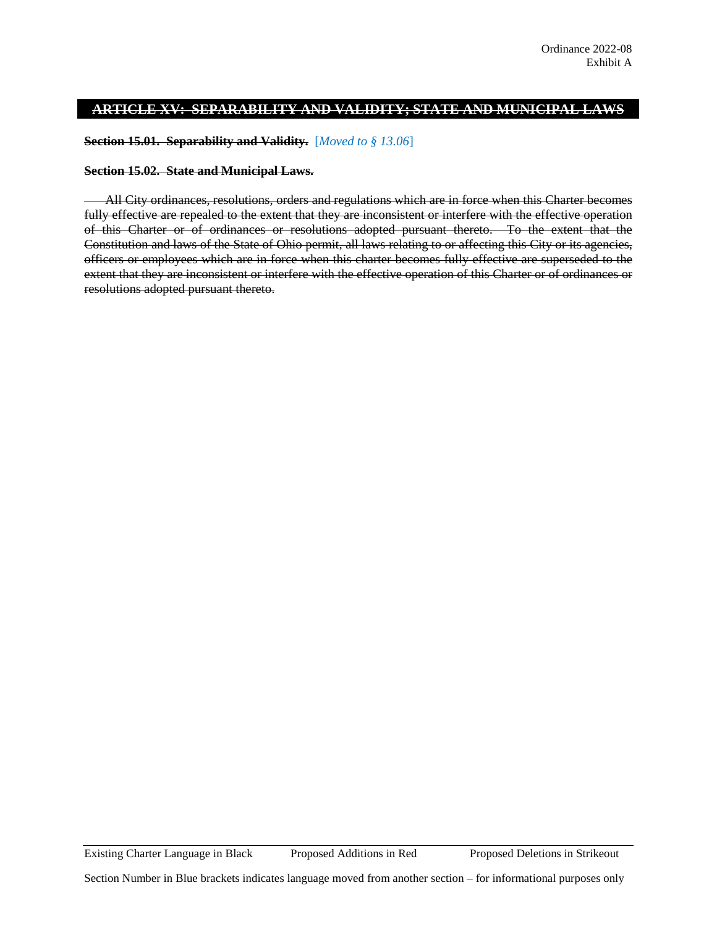# **ARTICLE XV: SEPARABILITY AND VALIDITY; STATE AND MUNICIPAL LAWS**

**Section 15.01. Separability and Validity.** [*Moved to § 13.06*]

### **Section 15.02. State and Municipal Laws.**

All City ordinances, resolutions, orders and regulations which are in force when this Charter becomes fully effective are repealed to the extent that they are inconsistent or interfere with the effective operation of this Charter or of ordinances or resolutions adopted pursuant thereto. To the extent that the Constitution and laws of the State of Ohio permit, all laws relating to or affecting this City or its agencies, officers or employees which are in force when this charter becomes fully effective are superseded to the extent that they are inconsistent or interfere with the effective operation of this Charter or of ordinances or resolutions adopted pursuant thereto.

Existing Charter Language in Black Proposed Additions in Red Proposed Deletions in Strikeout